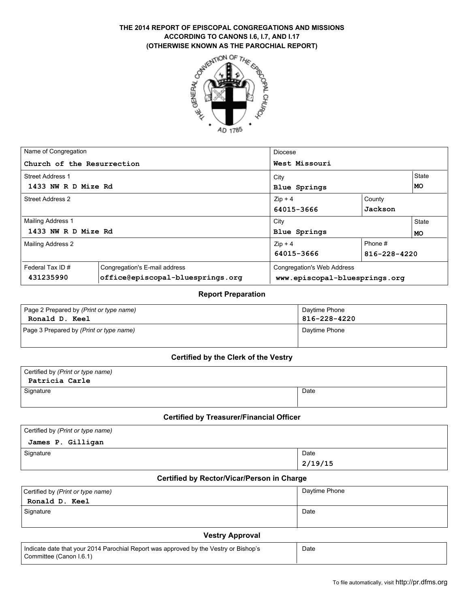# THE 2014 REPORT OF EPISCOPAL CONGREGATIONS AND MISSIONS<br>
ACCORDING TO CANONS I.6, I.7, AND I.17<br>
(OTHERWISE KNOWN AS THE PAROCHIAL REPORT)<br>  $\frac{1}{2}$ <br>  $\frac{1}{2}$ <br>  $\frac{1}{2}$ **ACCORDING TO CANONS I.6, I.7, AND I.17 (OTHERWISE KNOWN AS THE PAROCHIAL REPORT)**



| Name of Congregation                     |                                  | <b>Diocese</b>                    |              |           |  |
|------------------------------------------|----------------------------------|-----------------------------------|--------------|-----------|--|
| Church of the Resurrection               |                                  | West Missouri                     |              |           |  |
| Street Address 1                         |                                  | City                              |              |           |  |
| 1433 NW R D Mize Rd                      |                                  | <b>Blue Springs</b>               |              |           |  |
| <b>Street Address 2</b>                  |                                  | $Zip + 4$                         | County       |           |  |
|                                          |                                  | 64015-3666                        | Jackson      |           |  |
| Mailing Address 1<br>1433 NW R D Mize Rd |                                  | City                              |              | State     |  |
|                                          |                                  | <b>Blue Springs</b>               |              | <b>MO</b> |  |
| <b>Mailing Address 2</b>                 |                                  | $Zip + 4$                         | Phone #      |           |  |
|                                          |                                  | 64015-3666                        | 816-228-4220 |           |  |
| Federal Tax ID#                          | Congregation's E-mail address    | <b>Congregation's Web Address</b> |              |           |  |
| 431235990                                | office@episcopal-bluesprings.org | www.episcopal-bluesprings.org     |              |           |  |

#### **Report Preparation**

| Page 2 Prepared by (Print or type name) | Daytime Phone |
|-----------------------------------------|---------------|
| Ronald D. Keel                          | 816-228-4220  |
| Page 3 Prepared by (Print or type name) | Davtime Phone |

#### **Certified by the Clerk of the Vestry**

| Certified by (Print or type name)<br>Patricia Carle |      |
|-----------------------------------------------------|------|
| Signature                                           | Date |

## **Certified by Treasurer/Financial Officer**

| Certified by (Print or type name) |         |
|-----------------------------------|---------|
| James P. Gilligan                 |         |
| Signature                         | Date    |
|                                   | 2/19/15 |

## **Certified by Rector/Vicar/Person in Charge**

| Certified by (Print or type name)<br>Ronald D. Keel | Daytime Phone |
|-----------------------------------------------------|---------------|
| Signature                                           | Date          |

#### **Vestry Approval**

| Indicate date that your 2014 Parochial Report was approved by the Vestry or Bishop's | Date |
|--------------------------------------------------------------------------------------|------|
| Committee (Canon I.6.1)                                                              |      |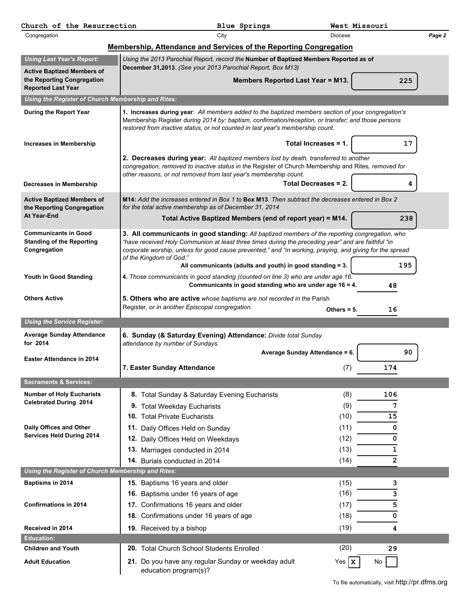| Church of the Resurrection                                                      | <b>Blue Springs</b>                                                                                                                                                                                                                                                                                                                                                                                     | West Missouri                        |        |
|---------------------------------------------------------------------------------|---------------------------------------------------------------------------------------------------------------------------------------------------------------------------------------------------------------------------------------------------------------------------------------------------------------------------------------------------------------------------------------------------------|--------------------------------------|--------|
| Congregation                                                                    | City                                                                                                                                                                                                                                                                                                                                                                                                    | <b>Diocese</b>                       | Page 2 |
|                                                                                 | <b>Membership, Attendance and Services of the Reporting Congregation</b>                                                                                                                                                                                                                                                                                                                                |                                      |        |
| <b>Using Last Year's Report:</b>                                                | Using the 2013 Parochial Report, record the Number of Baptized Members Reported as of                                                                                                                                                                                                                                                                                                                   |                                      |        |
| <b>Active Baptized Members of</b>                                               | December 31,2013. (See your 2013 Parochial Report, Box M13)                                                                                                                                                                                                                                                                                                                                             |                                      |        |
| the Reporting Congregation<br><b>Reported Last Year</b>                         | Members Reported Last Year = M13.                                                                                                                                                                                                                                                                                                                                                                       | 225                                  |        |
| Using the Register of Church Membership and Rites:                              |                                                                                                                                                                                                                                                                                                                                                                                                         |                                      |        |
| During the Report Year                                                          | 1. Increases during year: All members added to the baptized members section of your congregation's                                                                                                                                                                                                                                                                                                      |                                      |        |
|                                                                                 | Membership Register during 2014 by: baptism, confirmation/reception, or transfer; and those persons<br>restored from inactive status, or not counted in last year's membership count.                                                                                                                                                                                                                   |                                      |        |
| Increases in Membership                                                         |                                                                                                                                                                                                                                                                                                                                                                                                         | Total Increases = 1.<br>17           |        |
|                                                                                 | 2. Decreases during year: All baptized members lost by death, transferred to another<br>congregation, removed to inactive status in the Register of Church Membership and Rites, removed for                                                                                                                                                                                                            |                                      |        |
|                                                                                 | other reasons, or not removed from last year's membership count.                                                                                                                                                                                                                                                                                                                                        |                                      |        |
| Decreases in Membership                                                         |                                                                                                                                                                                                                                                                                                                                                                                                         | <b>Total Decreases = 2.</b><br>4     |        |
| <b>Active Baptized Members of</b><br>the Reporting Congregation                 | M14: Add the increases entered in Box 1 to Box M13. Then subtract the decreases entered in Box 2<br>for the total active membership as of December 31, 2014                                                                                                                                                                                                                                             |                                      |        |
| <b>At Year-End</b>                                                              | Total Active Baptized Members (end of report year) = M14.                                                                                                                                                                                                                                                                                                                                               | 238                                  |        |
| <b>Communicants in Good</b><br><b>Standing of the Reporting</b><br>Congregation | 3. All communicants in good standing: All baptized members of the reporting congregation, who<br>"have received Holy Communion at least three times during the preceding year" and are faithful "in<br>corporate worship, unless for good cause prevented," and "in working, praying, and giving for the spread<br>of the Kingdom of God."<br>All communicants (adults and youth) in good standing = 3. | 195                                  |        |
| Youth in Good Standing                                                          | 4. Those communicants in good standing (counted on line 3) who are under age 16.<br>Communicants in good standing who are under age 16 = 4.                                                                                                                                                                                                                                                             | 48                                   |        |
| <b>Others Active</b>                                                            | 5. Others who are active whose baptisms are not recorded in the Parish<br>Register, or in another Episcopal congregation.                                                                                                                                                                                                                                                                               | 16<br>Others $= 5$ .                 |        |
| <b>Using the Service Register:</b>                                              |                                                                                                                                                                                                                                                                                                                                                                                                         |                                      |        |
| <b>Average Sunday Attendance</b>                                                | 6. Sunday (& Saturday Evening) Attendance: Divide total Sunday                                                                                                                                                                                                                                                                                                                                          |                                      |        |
| for 2014                                                                        | attendance by number of Sundays.                                                                                                                                                                                                                                                                                                                                                                        |                                      |        |
| <b>Easter Attendance in 2014</b>                                                |                                                                                                                                                                                                                                                                                                                                                                                                         | Average Sunday Attendance = 6.<br>90 |        |
|                                                                                 | 7. Easter Sunday Attendance                                                                                                                                                                                                                                                                                                                                                                             | (7)<br>174                           |        |
| <b>Sacraments &amp; Services:</b>                                               |                                                                                                                                                                                                                                                                                                                                                                                                         |                                      |        |
| <b>Number of Holy Eucharists</b>                                                |                                                                                                                                                                                                                                                                                                                                                                                                         |                                      |        |
|                                                                                 |                                                                                                                                                                                                                                                                                                                                                                                                         |                                      |        |
| <b>Celebrated During 2014</b>                                                   | 8. Total Sunday & Saturday Evening Eucharists                                                                                                                                                                                                                                                                                                                                                           | (8)<br>106                           |        |
|                                                                                 | 9. Total Weekday Eucharists                                                                                                                                                                                                                                                                                                                                                                             | (9)<br>7                             |        |
|                                                                                 | 10. Total Private Eucharists                                                                                                                                                                                                                                                                                                                                                                            | (10)<br>15                           |        |
| Daily Offices and Other<br><b>Services Held During 2014</b>                     | Daily Offices Held on Sunday<br>11.                                                                                                                                                                                                                                                                                                                                                                     | (11)<br>0                            |        |
|                                                                                 | 12. Daily Offices Held on Weekdays                                                                                                                                                                                                                                                                                                                                                                      | (12)<br>0                            |        |
|                                                                                 | 13. Marriages conducted in 2014                                                                                                                                                                                                                                                                                                                                                                         | (13)<br>1                            |        |
|                                                                                 | 14. Burials conducted in 2014                                                                                                                                                                                                                                                                                                                                                                           | $\mathbf{2}$<br>(14)                 |        |
| Using the Register of Church Membership and Rites:                              |                                                                                                                                                                                                                                                                                                                                                                                                         |                                      |        |
| Baptisms in 2014                                                                | 15. Baptisms 16 years and older                                                                                                                                                                                                                                                                                                                                                                         | (15)<br>з                            |        |
|                                                                                 | 16. Baptisms under 16 years of age                                                                                                                                                                                                                                                                                                                                                                      | (16)<br>з                            |        |
| <b>Confirmations in 2014</b>                                                    | 17. Confirmations 16 years and older                                                                                                                                                                                                                                                                                                                                                                    | 5<br>(17)                            |        |
|                                                                                 | 18. Confirmations under 16 years of age                                                                                                                                                                                                                                                                                                                                                                 | (18)<br>0                            |        |
| Received in 2014                                                                | 19. Received by a bishop                                                                                                                                                                                                                                                                                                                                                                                | (19)<br>4                            |        |
| <b>Education:</b><br><b>Children and Youth</b>                                  |                                                                                                                                                                                                                                                                                                                                                                                                         |                                      |        |
| <b>Adult Education</b>                                                          | <b>20.</b> Total Church School Students Enrolled<br>21. Do you have any regular Sunday or weekday adult                                                                                                                                                                                                                                                                                                 | (20)<br>29<br>Yes $\mathbf{x}$<br>No |        |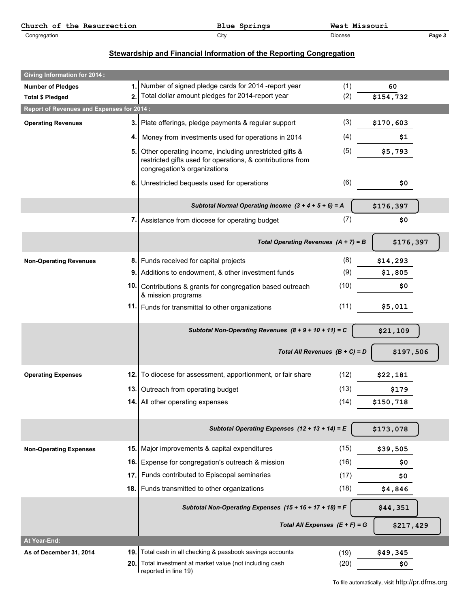| Church<br>Resurrection<br>the<br>ot. | Springs<br>Blue | West<br>---<br>Missouri |        |
|--------------------------------------|-----------------|-------------------------|--------|
| Congregation                         | ∨ااب            | Diocese                 | Page J |

## **Stewardship and Financial Information of the Reporting Congregation**

| <b>Giving Information for 2014:</b>                                  |       |                                                                                                                                                      |                                  |                       |
|----------------------------------------------------------------------|-------|------------------------------------------------------------------------------------------------------------------------------------------------------|----------------------------------|-----------------------|
| <b>Number of Pledges</b>                                             | 2.    | 1. Number of signed pledge cards for 2014 -report year<br>Total dollar amount pledges for 2014-report year                                           | (1)<br>(2)                       | 60                    |
| <b>Total \$ Pledged</b><br>Report of Revenues and Expenses for 2014: |       |                                                                                                                                                      |                                  | $\overline{$154,732}$ |
|                                                                      |       |                                                                                                                                                      |                                  |                       |
| <b>Operating Revenues</b>                                            |       | 3. Plate offerings, pledge payments & regular support                                                                                                | (3)                              | \$170,603             |
|                                                                      | 4.1   | Money from investments used for operations in 2014                                                                                                   | (4)                              | \$1                   |
|                                                                      | 5.    | Other operating income, including unrestricted gifts &<br>restricted gifts used for operations, & contributions from<br>congregation's organizations | (5)                              | \$5,793               |
|                                                                      |       | 6. Unrestricted bequests used for operations                                                                                                         | (6)                              | \$0                   |
|                                                                      |       | Subtotal Normal Operating Income $(3 + 4 + 5 + 6) = A$                                                                                               |                                  | \$176,397             |
|                                                                      |       | 7. Assistance from diocese for operating budget                                                                                                      | (7)                              | \$0                   |
|                                                                      |       | Total Operating Revenues $(A + 7) = B$                                                                                                               |                                  | \$176,397             |
| <b>Non-Operating Revenues</b>                                        |       | 8. Funds received for capital projects                                                                                                               | (8)                              | \$14,293              |
|                                                                      | 9.    | Additions to endowment, & other investment funds                                                                                                     | (9)                              | \$1,805               |
|                                                                      | 10.   | Contributions & grants for congregation based outreach<br>& mission programs                                                                         | (10)                             | \$0                   |
|                                                                      | 11.   | Funds for transmittal to other organizations                                                                                                         | (11)                             | \$5,011               |
|                                                                      |       | Subtotal Non-Operating Revenues $(8 + 9 + 10 + 11) = C$                                                                                              |                                  | \$21,109              |
|                                                                      |       |                                                                                                                                                      | Total All Revenues $(B + C) = D$ | \$197,506             |
| <b>Operating Expenses</b>                                            |       | 12. To diocese for assessment, apportionment, or fair share                                                                                          | (12)                             | \$22,181              |
|                                                                      |       | 13. Outreach from operating budget                                                                                                                   | (13)                             | \$179                 |
|                                                                      |       | 14. All other operating expenses                                                                                                                     | (14)                             | \$150,718             |
|                                                                      |       | Subtotal Operating Expenses $(12 + 13 + 14) = E$                                                                                                     |                                  | \$173,078             |
| <b>Non-Operating Expenses</b>                                        |       | 15. Major improvements & capital expenditures                                                                                                        | (15)                             | \$39,505              |
|                                                                      |       | 16. Expense for congregation's outreach & mission                                                                                                    | (16)                             | \$0                   |
|                                                                      | 17. l | Funds contributed to Episcopal seminaries                                                                                                            | (17)                             | \$0                   |
|                                                                      |       | 18.   Funds transmitted to other organizations                                                                                                       | (18)                             | \$4,846               |
|                                                                      |       | Subtotal Non-Operating Expenses $(15 + 16 + 17 + 18) = F$                                                                                            |                                  | \$44,351              |
|                                                                      |       |                                                                                                                                                      | Total All Expenses $(E + F) = G$ | \$217,429             |
| At Year-End:                                                         |       |                                                                                                                                                      |                                  |                       |
| As of December 31, 2014                                              | 19.   | Total cash in all checking & passbook savings accounts                                                                                               | (19)                             | \$49,345              |
|                                                                      |       | 20. Total investment at market value (not including cash<br>reported in line 19)                                                                     | (20)                             | \$0                   |

To file automatically, visit http://pr.dfms.org